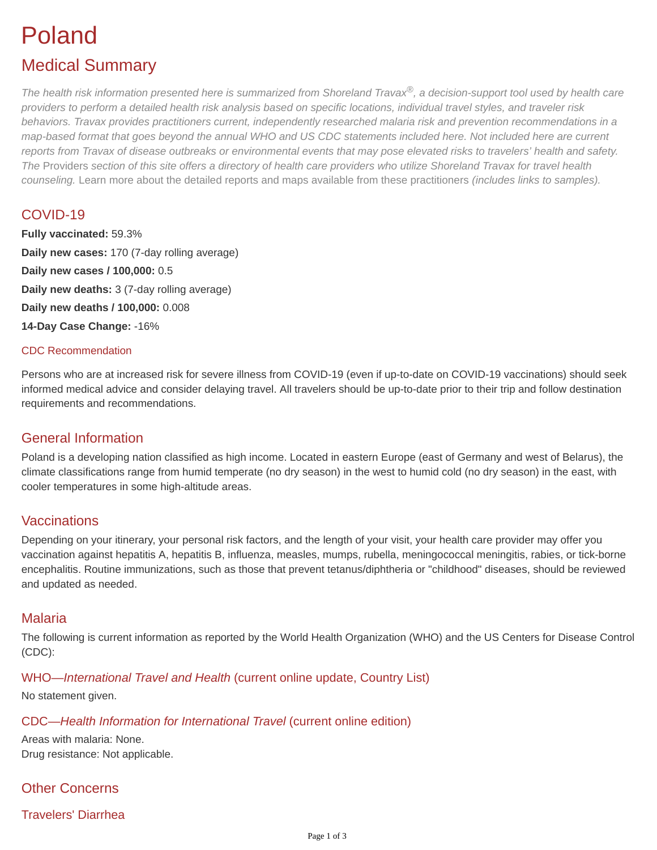# Poland

# Medical Summary

*The health risk information presented here is summarized from Shoreland Travax®, a decision-support tool used by health care providers to perform a detailed health risk analysis based on specific locations, individual travel styles, and traveler risk behaviors. Travax provides practitioners current, independently researched malaria risk and prevention recommendations in a map-based format that goes beyond the annual WHO and US CDC statements included here. Not included here are current reports from Travax of disease outbreaks or environmental events that may pose elevated risks to travelers' health and safety. The* [Providers](https://tripprep.com/providers) *section of this site offers a directory of health care providers who utilize Shoreland Travax for travel health counseling.* [Learn more about the detailed reports and maps available from these practitioners](http://www.shoreland.com/services/travax/destination-information) *(includes links to samples).*

# COVID-19

**Fully vaccinated:** 59.3% **Daily new cases:** 170 (7-day rolling average) **Daily new cases / 100,000:** 0.5 **Daily new deaths:** 3 (7-day rolling average) **Daily new deaths / 100,000:** 0.008 **14-Day Case Change:** -16%

#### CDC Recommendation

Persons who are at increased risk for severe illness from COVID-19 (even if up-to-date on COVID-19 vaccinations) should seek informed medical advice and consider delaying travel. All travelers should be up-to-date prior to their trip and follow destination requirements and recommendations.

# General Information

Poland is a developing nation classified as high income. Located in eastern Europe (east of Germany and west of Belarus), the climate classifications range from humid temperate (no dry season) in the west to humid cold (no dry season) in the east, with cooler temperatures in some high-altitude areas.

# **Vaccinations**

Depending on your itinerary, your personal risk factors, and the length of your visit, your health care provider may offer you vaccination against hepatitis A, hepatitis B, influenza, measles, mumps, rubella, meningococcal meningitis, rabies, or tick-borne encephalitis. Routine immunizations, such as those that prevent tetanus/diphtheria or "childhood" diseases, should be reviewed and updated as needed.

# Malaria

The following is current information as reported by the World Health Organization (WHO) and the US Centers for Disease Control (CDC):

# WHO—*International Travel and Health* (current online update, Country List)

No statement given.

#### CDC—*Health Information for International Travel* (current online edition)

Areas with malaria: None. Drug resistance: Not applicable.

# Other Concerns

# Travelers' Diarrhea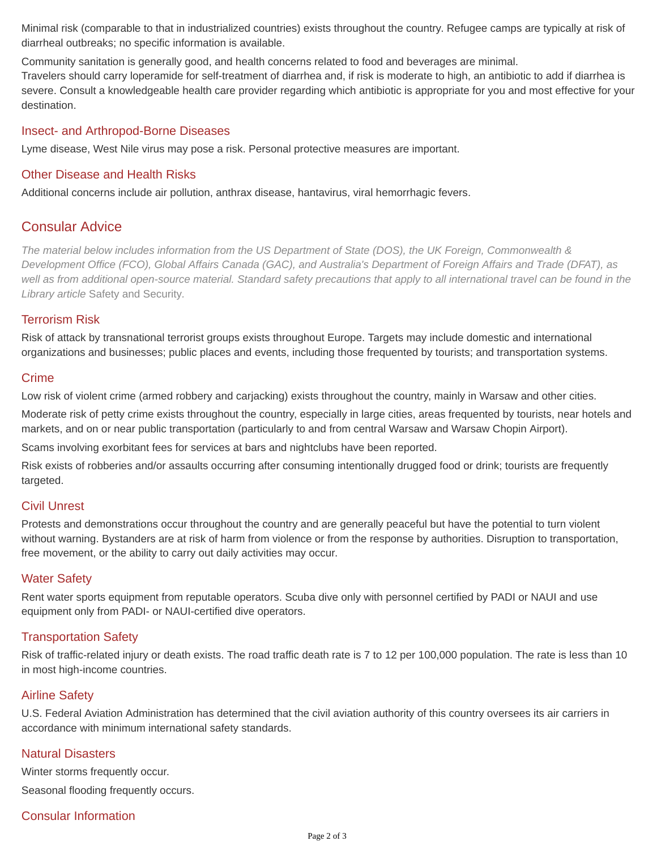Minimal risk (comparable to that in industrialized countries) exists throughout the country. Refugee camps are typically at risk of diarrheal outbreaks; no specific information is available.

Community sanitation is generally good, and health concerns related to food and beverages are minimal.

Travelers should carry loperamide for self-treatment of diarrhea and, if risk is moderate to high, an antibiotic to add if diarrhea is severe. Consult a knowledgeable health care provider regarding which antibiotic is appropriate for you and most effective for your destination.

#### Insect- and Arthropod-Borne Diseases

Lyme disease, West Nile virus may pose a risk. Personal protective measures are important.

#### Other Disease and Health Risks

Additional concerns include air pollution, anthrax disease, hantavirus, viral hemorrhagic fevers.

### Consular Advice

*The material below includes information from the US Department of State (DOS), the UK Foreign, Commonwealth & Development Office (FCO), Global Affairs Canada (GAC), and Australia's Department of Foreign Affairs and Trade (DFAT), as well as from additional open-source material. Standard safety precautions that apply to all international travel can be found in the Library article* [Safety and Security](https://tripprep.com/library/safety-and-security)*.*

#### Terrorism Risk

Risk of attack by transnational terrorist groups exists throughout Europe. Targets may include domestic and international organizations and businesses; public places and events, including those frequented by tourists; and transportation systems.

#### **Crime**

Low risk of violent crime (armed robbery and carjacking) exists throughout the country, mainly in Warsaw and other cities. Moderate risk of petty crime exists throughout the country, especially in large cities, areas frequented by tourists, near hotels and

markets, and on or near public transportation (particularly to and from central Warsaw and Warsaw Chopin Airport).

Scams involving exorbitant fees for services at bars and nightclubs have been reported.

Risk exists of robberies and/or assaults occurring after consuming intentionally drugged food or drink; tourists are frequently targeted.

#### Civil Unrest

Protests and demonstrations occur throughout the country and are generally peaceful but have the potential to turn violent without warning. Bystanders are at risk of harm from violence or from the response by authorities. Disruption to transportation, free movement, or the ability to carry out daily activities may occur.

#### Water Safety

Rent water sports equipment from reputable operators. Scuba dive only with personnel certified by PADI or NAUI and use equipment only from PADI- or NAUI-certified dive operators.

#### Transportation Safety

Risk of traffic-related injury or death exists. The road traffic death rate is 7 to 12 per 100,000 population. The rate is less than 10 in most high-income countries.

#### Airline Safety

U.S. Federal Aviation Administration has determined that the civil aviation authority of this country oversees its air carriers in accordance with minimum international safety standards.

#### Natural Disasters

Winter storms frequently occur. Seasonal flooding frequently occurs.

# Consular Information